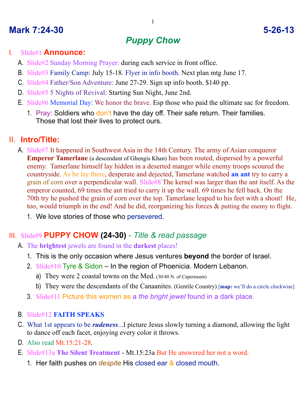## **Mark 7:24-30 5-26-13**

# *Puppy Chow*

### I. Slide#1 **Announce:**

- A. Slide#2 Sunday Morning Prayer: during each service in front office.
- B. Slide#3 Family Camp: July 15-18. Flyer in info booth. Next plan mtg June 17.
- C. Slide#4 Father/Son Adventure: June 27-29. Sign up info booth. \$140 pp.
- D. Slide#5 5 Nights of Revival: Starting Sun Night, June 2nd.
- E. Slide#6 Memorial Day: We honor the brave. Esp those who paid the ultimate sac for freedom.
	- 1. Pray: Soldiers who don't have the day off. Their safe return. Their families. Those that lost their lives to protect ours.

## II. **Intro/Title:**

- A. Slide#7 It happened in Southwest Asia in the 14th Century. The army of Asian conqueror **Emperor Tamerlane** (a descendant of Ghengis Khan) has been routed, dispersed by a powerful enemy. Tamerlane himself lay hidden in a deserted manger while enemy troops scoured the countryside. As he lay there, desperate and dejected, Tamerlane watched **an ant** try to carry a grain of corn over a perpendicular wall. Slide#8 The kernel was larger than the ant itself. As the emperor counted, 69 times the ant tried to carry it up the wall. 69 times he fell back. On the 70th try he pushed the grain of corn over the top. Tamerlane leaped to his feet with a shout! He, too, would triumph in the end! And he did, reorganizing his forces & putting the enemy to flight.
	- 1. We love stories of those who persevered.

## III. Slide#9 **PUPPY CHOW (24-30)** *- Title & read passage*

- A. The **brightest** jewels are found in the **darkest** places!
	- 1. This is the only occasion where Jesus ventures **beyond** the border of Israel.
	- 2. Slide#10 Tyre & Sidon In the region of Phoenicia. Modern Lebanon.
		- a) They were 2 coastal towns on the Med. (30/40 N. of Capernaum)
		- b) They were the descendants of the Canaanites. (Gentile Country) [**map:** we'll do a circle clockwise]
	- 3. Slide#11 Picture this women as a *the bright jewel* found in a dark place.
- B. Slide#12 **FAITH SPEAKS**
- C. What 1st appears to be *rudeness*...I picture Jesus slowly turning a diamond, allowing the light to dance off each facet, enjoying every color it throws.
- D. Also read Mt.15:21-28.
- E. Slide#13a **The Silent Treatment** Mt.15:23a But He answered her not a word.
	- 1. Her faith pushes on *despite* His closed ear & closed mouth.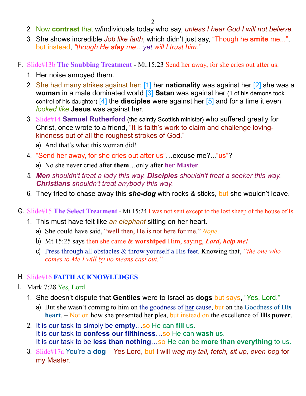- 2. Now **contrast** that w/individuals today who say, *unless I hear God I will not believe.*
- 3. She shows incredible *Job like faith*, which didn't just say, "Though he **smite** me...", but instead, *"though He slay me…yet will I trust him."*
- F. Slide#13b **The Snubbing Treatment** Mt.15:23 Send her away, for she cries out after us.
	- 1. Her noise annoyed them.
	- 2. She had many strikes against her: [1] her **nationality** was against her [2] she was a **woman** in a male dominated world **[3] Satan** was against her (1 of his demons took control of his daughter) [4] the **disciples** were against her [5] and for a time it even *looked like* **Jesus** was against her.
	- 3. Slide#14 **Samuel Rutherford** (the saintly Scottish minister) who suffered greatly for Christ, once wrote to a friend, "It is faith's work to claim and challenge lovingkindness out of all the roughest strokes of God."
		- a) And that's what this woman did!
	- 4. "Send her away, for she cries out after us"…excuse me?..."us"?
		- a) No she never cried after **them**…only after **her Master**.
	- *5. Men shouldn't treat a lady this way. Disciples shouldn't treat a seeker this way. Christians shouldn't treat anybody this way.*
	- 6. They tried to chase away this *she-dog* with rocks & sticks, but she wouldn't leave.
- G. Slide#15 **The Select Treatment** Mt.15:24 I was not sent except to the lost sheep of the house of Is.
	- 1. This must have felt like *an elephant* sitting on her heart.
		- a) She could have said, "well then, He is not here for me." *Nope*.
		- b) Mt.15:25 says then she came & **worshiped** Him, saying, *Lord, help me!*
		- c) Press through all obstacles & throw yourself a His feet. Knowing that, *"the one who comes to Me I will by no means cast out."*

## H. Slide#16 **FAITH ACKNOWLEDGES**

- I. Mark 7:28 Yes, Lord.
	- 1. She doesn't dispute that **Gentiles** were to Israel as **dogs** but says, "Yes, Lord."
		- a) But she wasn't coming to him on the goodness of her cause, but on the Goodness of **His heart**. – Not on how she presented her plea, but instead on the excellence of **His power**.
	- 2. It is our task to simply be **empty**…so He can **fill** us. It is our task to **confess our filthiness**…so He can **wash** us. It is our task to be **less than nothing**…so He can be **more than everything** to us.
	- 3. Slide#17a You're a **dog** Yes Lord, but I will *wag my tail, fetch, sit up, even beg* for my Master.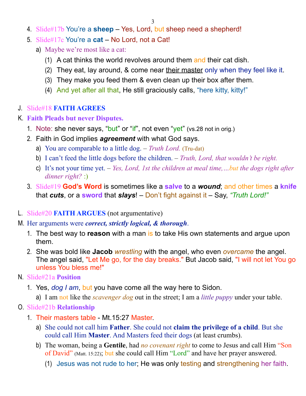- 4. Slide#17b You're a **sheep** Yes, Lord, but sheep need a shepherd!
- 5. Slide#17c You're a **cat** No Lord, not a Cat!
	- a) Maybe we're most like a cat:
		- (1) A cat thinks the world revolves around them and their cat dish.
		- (2) They eat, lay around, & come near their master only when they feel like it.
		- (3) They make you feed them & even clean up their box after them.
		- (4) And yet after all that, He still graciously calls, "here kitty, kitty!"

#### J. Slide#18 **FAITH AGREES**

#### K. **Faith Pleads but never Disputes.**

- 1. Note: she never says, "but" or "if", not even "yet" (vs.28 not in orig.)
- 2. Faith in God implies *agreement* with what God says.
	- a) You are comparable to a little dog. *Truth Lord.* (Tru-dat)
	- b) I can't feed the little dogs before the children. *Truth, Lord, that wouldn't be right.*
	- c) It's not your time yet. *Yes, Lord, 1st the children at meal time,…but the dogs right after dinner right?* :)
- 3. Slide#19 **God's Word** is sometimes like a **salve** to a *wound*; and other times a **knife** that *cuts*, or a **sword** that *slays*! – Don't fight against it – Say, *"Truth Lord!"*

#### L. Slide#20 **FAITH ARGUES** (not argumentative)

- M. Her arguments were *correct, strictly logical, & thorough*.
	- 1. The best way to **reason** with a man is to take His own statements and argue upon them.
	- 2. She was bold like **Jacob** *wrestling* with the angel, who even *overcame* the angel. The angel said, "Let Me go, for the day breaks." But Jacob said, "I will not let You go unless You bless me!"

#### N. Slide#21a **Position**

- 1. Yes, *dog I am*, but you have come all the way here to Sidon.
	- a) I am not like the *scavenger dog* out in the street; I am a *little puppy* under your table.

#### O. Slide#21b **Relationship**

- 1. Their masters table Mt.15:27 Master.
	- a) She could not call him **Father**. She could not **claim the privilege of a child**. But she could call Him **Master**. And Masters feed their dogs (at least crumbs).
	- b) The woman, being a **Gentile**, had *no covenant right* to come to Jesus and call Him "Son of David" (Matt. 15:22); but she could call Him "Lord" and have her prayer answered.
		- (1) Jesus was not rude to her; He was only testing and strengthening her faith.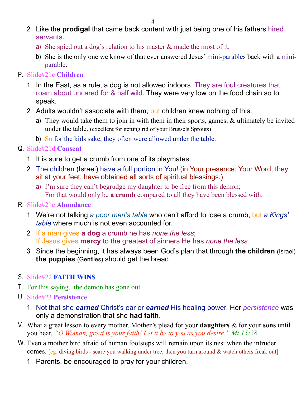- 2. Like the **prodigal** that came back content with just being one of his fathers hired servants.
	- a) She spied out a dog's relation to his master  $\&$  made the most of it.
	- b) She is the only one we know of that ever answered Jesus' mini-parables back with a miniparable.
- P. Slide#21c **Children**
	- 1. In the East, as a rule, a dog is not allowed indoors. They are foul creatures that roam about uncared for & half wild. They were very low on the food chain so to speak.
	- 2. Adults wouldn't associate with them, but children knew nothing of this.
		- a) They would take them to join in with them in their sports, games, & ultimately be invited under the table. (excellent for getting rid of your Brussels Sprouts)
		- b) So for the kids sake, they often were allowed under the table.

### Q. Slide#21d **Consent**

- 1. It is sure to get a crumb from one of its playmates.
- 2. The children (Israel) have a full portion in You! (in Your presence; Your Word; they sit at your feet; have obtained all sorts of spiritual blessings.)
	- a) I'm sure they can't begrudge my daughter to be free from this demon; For that would only be **a crumb** compared to all they have been blessed with.

## R. Slide#21e **Abundance**

- 1. We're not talking *a poor man's table* who can't afford to lose a crumb; but *a Kings' table* where much is not even accounted for.
- 2. If a man gives **a dog** a crumb he has *none the less*; If Jesus gives **mercy** to the greatest of sinners He has *none the less*.
- 3. Since the beginning, it has always been God's plan that through **the children** (Israel) **the puppies** (Gentiles) should get the bread.

## S. Slide#22 **FAITH WINS**

- T. For this saying...the demon has gone out.
- U. Slide#23 **Persistence**
	- 1. Not that she *earned* Christ's ear or *earned* His healing power. Her *persistence* was only a demonstration that she **had faith**.
- V. What a great lesson to every mother. Mother's plead for your **daughters** & for your **sons** until you hear, *"O Woman, great is your faith! Let it be to you as you desire." Mt.15:28*
- W. Even a mother bird afraid of human footsteps will remain upon its nest when the intruder comes. [eg. diving birds - scare you walking under tree; then you turn around & watch others freak out]
	- 1. Parents, be encouraged to pray for your children.